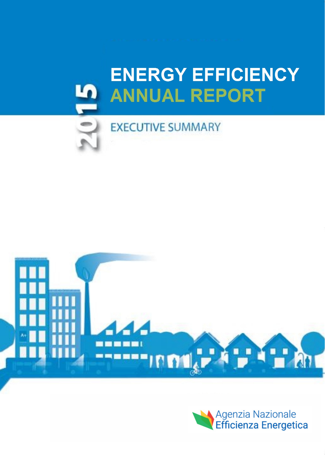# **ENERGY EFFICIENCY ANNUAL REPORT**



**EXECUTIVE SUMMARY** 



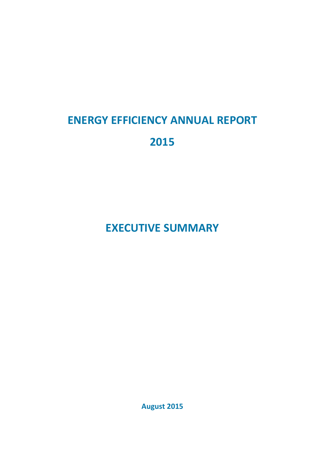## **ENERGY EFFICIENCY ANNUAL REPORT**

### **2015**

## **EXECUTIVE SUMMARY**

**August 2015**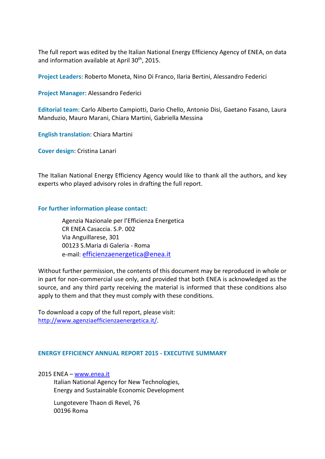The full report was edited by the Italian National Energy Efficiency Agency of ENEA, on data and information available at April 30<sup>th</sup>, 2015.

**Project Leaders**: Roberto Moneta, Nino Di Franco, Ilaria Bertini, Alessandro Federici

**Project Manager**: Alessandro Federici

**Editorial team**: Carlo Alberto Campiotti, Dario Chello, Antonio Disi, Gaetano Fasano, Laura Manduzio, Mauro Marani, Chiara Martini, Gabriella Messina

**English translation**: Chiara Martini

**Cover design**: Cristina Lanari

The Italian National Energy Efficiency Agency would like to thank all the authors, and key experts who played advisory roles in drafting the full report.

#### **For further information please contact**:

Agenzia Nazionale per l'Efficienza Energetica CR ENEA Casaccia. S.P. 002 Via Anguillarese, 301 00123 S.Maria di Galeria - Roma e-mail[: efficienzaenergetica@enea.it](mailto:efficienzaenergetica@enea.it)

Without further permission, the contents of this document may be reproduced in whole or in part for non-commercial use only, and provided that both ENEA is acknowledged as the source, and any third party receiving the material is informed that these conditions also apply to them and that they must comply with these conditions.

To download a copy of the full report, please visit: [http://www.agenziaefficienzaenergetica.it/.](http://www.agenziaefficienzaenergetica.it/)

#### **ENERGY EFFICIENCY ANNUAL REPORT 2015 - EXECUTIVE SUMMARY**

2015 ENEA – [www.enea.it](http://www.enea.it/)

Italian National Agency for New Technologies, Energy and Sustainable Economic Development

Lungotevere Thaon di Revel, 76 00196 Roma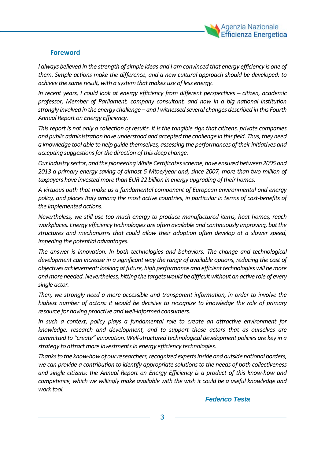

#### **Foreword**

*I always believed in the strength of simple ideas and I am convinced that energy efficiency is one of them. Simple actions make the difference, and a new cultural approach should be developed: to achieve the same result, with a system that makes use of less energy.*

*In recent years, I could look at energy efficiency from different perspectives – citizen, academic professor, Member of Parliament, company consultant, and now in a big national institution strongly involved in the energy challenge – and I witnessed several changes described in this Fourth Annual Report on Energy Efficiency.*

*This report is not only a collection of results. It is the tangible sign that citizens, private companies and public administration have understood and accepted the challenge in this field. Thus,they need a knowledge tool able to help guide themselves, assessing the performances of their initiatives and accepting suggestions for the direction of this deep change.*

*Our industry sector, and the pioneering White Certificatesscheme, have ensured between 2005 and 2013 a primary energy saving of almost 5 Mtoe/year and, since 2007, more than two million of taxpayers have invested more than EUR 22 billion in energy upgrading of their homes.* 

*A virtuous path that make us a fundamental component of European environmental and energy*  policy, and places Italy among the most active countries, in particular in terms of cost-benefits of *the implemented actions.* 

*Nevertheless, we still use too much energy to produce manufactured items, heat homes, reach workplaces. Energy efficiency technologies are often available and continuously improving, but the structures and mechanisms that could allow their adoption often develop at a slower speed, impeding the potential advantages.*

*The answer is innovation. In both technologies and behaviors. The change and technological development can increase in a significant way the range of available options, reducing the cost of objectives achievement: looking at future, high performance and efficient technologies will be more and more needed. Nevertheless, hitting the targets would be difficult without an active role of every single actor.*

*Then, we strongly need a more accessible and transparent information, in order to involve the highest number of actors: it would be decisive to recognize to knowledge the role of primary resource for having proactive and well-informed consumers.* 

*In such a context, policy plays a fundamental role to create an attractive environment for knowledge, research and development, and to support those actors that as ourselves are committed to "create" innovation. Well-structured technological development policies are key in a strategy to attract more investments in energy efficiency technologies.* 

*Thanks to the know-how of our researchers, recognized experts inside and outside national borders, we can provide a contribution to identify appropriate solutions to the needs of both collectiveness and single citizens: the Annual Report on Energy Efficiency is a product of this know-how and competence, which we willingly make available with the wish it could be a useful knowledge and work tool.* 

*Federico Testa*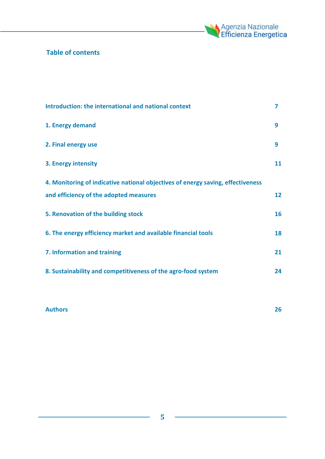

#### **Table of contents**

| Introduction: the international and national context                            | 7  |
|---------------------------------------------------------------------------------|----|
| 1. Energy demand                                                                | 9  |
| 2. Final energy use                                                             | 9  |
| 3. Energy intensity                                                             | 11 |
| 4. Monitoring of indicative national objectives of energy saving, effectiveness |    |
| and efficiency of the adopted measures                                          | 12 |
| 5. Renovation of the building stock                                             | 16 |
| 6. The energy efficiency market and available financial tools                   | 18 |
| 7. Information and training                                                     | 21 |
| 8. Sustainability and competitiveness of the agro-food system                   | 24 |

#### **Authors 26**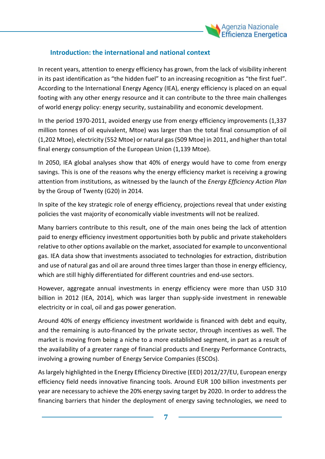

#### **Introduction: the international and national context**

In recent years, attention to energy efficiency has grown, from the lack of visibility inherent in its past identification as "the hidden fuel" to an increasing recognition as "the first fuel". According to the International Energy Agency (IEA), energy efficiency is placed on an equal footing with any other energy resource and it can contribute to the three main challenges of world energy policy: energy security, sustainability and economic development.

In the period 1970-2011, avoided energy use from energy efficiency improvements (1,337 million tonnes of oil equivalent, Mtoe) was larger than the total final consumption of oil (1,202 Mtoe), electricity (552 Mtoe) or natural gas (509 Mtoe) in 2011, and higher than total final energy consumption of the European Union (1,139 Mtoe).

In 2050, IEA global analyses show that 40% of energy would have to come from energy savings. This is one of the reasons why the energy efficiency market is receiving a growing attention from institutions, as witnessed by the launch of the *Energy Efficiency Action Plan* by the Group of Twenty (G20) in 2014.

In spite of the key strategic role of energy efficiency, projections reveal that under existing policies the vast majority of economically viable investments will not be realized.

Many barriers contribute to this result, one of the main ones being the lack of attention paid to energy efficiency investment opportunities both by public and private stakeholders relative to other options available on the market, associated for example to unconventional gas. IEA data show that investments associated to technologies for extraction, distribution and use of natural gas and oil are around three times larger than those in energy efficiency, which are still highly differentiated for different countries and end-use sectors.

However, aggregate annual investments in energy efficiency were more than USD 310 billion in 2012 (IEA, 2014), which was larger than supply-side investment in renewable electricity or in coal, oil and gas power generation.

Around 40% of energy efficiency investment worldwide is financed with debt and equity, and the remaining is auto-financed by the private sector, through incentives as well. The market is moving from being a niche to a more established segment, in part as a result of the availability of a greater range of financial products and Energy Performance Contracts, involving a growing number of Energy Service Companies (ESCOs).

As largely highlighted in the Energy Efficiency Directive (EED) 2012/27/EU, European energy efficiency field needs innovative financing tools. Around EUR 100 billion investments per year are necessary to achieve the 20% energy saving target by 2020. In order to address the financing barriers that hinder the deployment of energy saving technologies, we need to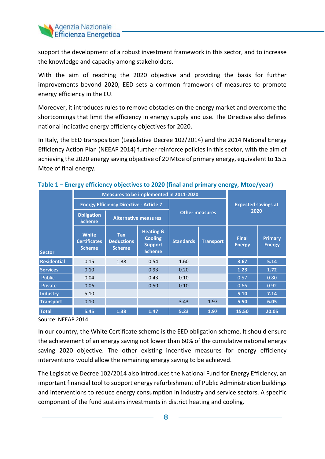

support the development of a robust investment framework in this sector, and to increase the knowledge and capacity among stakeholders.

With the aim of reaching the 2020 objective and providing the basis for further improvements beyond 2020, EED sets a common framework of measures to promote energy efficiency in the EU.

Moreover, it introduces rules to remove obstacles on the energy market and overcome the shortcomings that limit the efficiency in energy supply and use. The Directive also defines national indicative energy efficiency objectives for 2020.

In Italy, the EED transposition (Legislative Decree 102/2014) and the 2014 National Energy Efficiency Action Plan (NEEAP 2014) further reinforce policies in this sector, with the aim of achieving the 2020 energy saving objective of 20 Mtoe of primary energy, equivalent to 15.5 Mtoe of final energy.

|                    |                                                      | Measures to be implemented in 2011-2020          |                                                                           |                                      |      |                               |                          |  |
|--------------------|------------------------------------------------------|--------------------------------------------------|---------------------------------------------------------------------------|--------------------------------------|------|-------------------------------|--------------------------|--|
|                    |                                                      |                                                  |                                                                           |                                      |      |                               |                          |  |
|                    |                                                      | <b>Energy Efficiency Directive - Article 7</b>   |                                                                           |                                      |      | <b>Expected savings at</b>    |                          |  |
|                    | <b>Obligation</b><br><b>Scheme</b>                   | <b>Alternative measures</b>                      |                                                                           | <b>Other measures</b>                |      | 2020                          |                          |  |
| <b>Sector</b>      | <b>White</b><br><b>Certificates</b><br><b>Scheme</b> | <b>Tax</b><br><b>Deductions</b><br><b>Scheme</b> | <b>Heating &amp;</b><br><b>Cooling</b><br><b>Support</b><br><b>Scheme</b> | <b>Standards</b><br><b>Transport</b> |      | <b>Final</b><br><b>Energy</b> | Primary<br><b>Energy</b> |  |
| <b>Residential</b> | 0.15                                                 | 1.38                                             | 0.54                                                                      | 1.60                                 |      | 3.67                          | 5.14                     |  |
| <b>Services</b>    | 0.10                                                 |                                                  | 0.93                                                                      | 0.20                                 |      | 1.23                          | 1.72                     |  |
| Public             | 0.04                                                 |                                                  | 0.43                                                                      | 0.10                                 |      | 0.57                          | 0.80                     |  |
| Private            | 0.06                                                 |                                                  | 0.50                                                                      | 0.10                                 |      | 0.66                          | 0.92                     |  |
| <b>Industry</b>    | 5.10                                                 |                                                  |                                                                           |                                      |      | 5.10                          | 7.14                     |  |
| <b>Transport</b>   | 0.10                                                 |                                                  |                                                                           | 3.43                                 | 1.97 | 5.50                          | 6.05                     |  |
| <b>Total</b>       | 5.45                                                 | 1.38                                             | 1.47                                                                      | 5.23                                 | 1.97 | 15.50                         | 20.05                    |  |

#### **Table 1 – Energy efficiency objectives to 2020 (final and primary energy, Mtoe/year)**

Source: NEEAP 2014

In our country, the White Certificate scheme is the EED obligation scheme. It should ensure the achievement of an energy saving not lower than 60% of the cumulative national energy saving 2020 objective. The other existing incentive measures for energy efficiency interventions would allow the remaining energy saving to be achieved.

The Legislative Decree 102/2014 also introduces the National Fund for Energy Efficiency, an important financial tool to support energy refurbishment of Public Administration buildings and interventions to reduce energy consumption in industry and service sectors. A specific component of the fund sustains investments in district heating and cooling.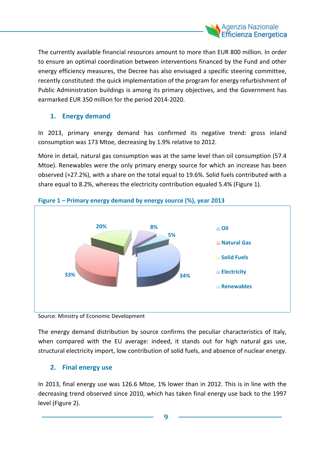

The currently available financial resources amount to more than EUR 800 million. In order to ensure an optimal coordination between interventions financed by the Fund and other energy efficiency measures, the Decree has also envisaged a specific steering committee, recently constituted: the quick implementation of the program for energy refurbishment of Public Administration buildings is among its primary objectives, and the Government has earmarked EUR 350 million for the period 2014-2020.

#### **1. Energy demand**

In 2013, primary energy demand has confirmed its negative trend: gross inland consumption was 173 Mtoe, decreasing by 1.9% relative to 2012.

More in detail, natural gas consumption was at the same level than oil consumption (57.4 Mtoe). Renewables were the only primary energy source for which an increase has been observed (+27.2%), with a share on the total equal to 19.6%. Solid fuels contributed with a share equal to 8.2%, whereas the electricity contribution equaled 5.4% (Figure 1).



#### **Figure 1 – Primary energy demand by energy source (%), year 2013**

Source: Ministry of Economic Development

The energy demand distribution by source confirms the peculiar characteristics of Italy, when compared with the EU average: indeed, it stands out for high natural gas use, structural electricity import, low contribution of solid fuels, and absence of nuclear energy.

#### **2. Final energy use**

In 2013, final energy use was 126.6 Mtoe, 1% lower than in 2012. This is in line with the decreasing trend observed since 2010, which has taken final energy use back to the 1997 level (Figure 2).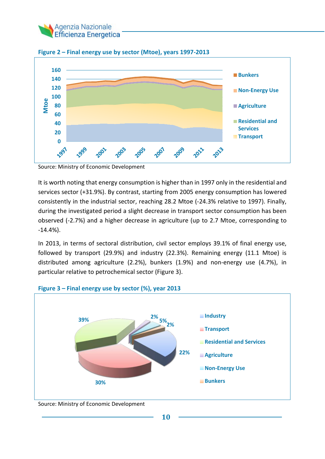



**Figure 2 – Final energy use by sector (Mtoe), years 1997-2013**

Source: Ministry of Economic Development

It is worth noting that energy consumption is higher than in 1997 only in the residential and services sector (+31.9%). By contrast, starting from 2005 energy consumption has lowered consistently in the industrial sector, reaching 28.2 Mtoe (-24.3% relative to 1997). Finally, during the investigated period a slight decrease in transport sector consumption has been observed (-2.7%) and a higher decrease in agriculture (up to 2.7 Mtoe, corresponding to -14.4%).

In 2013, in terms of sectoral distribution, civil sector employs 39.1% of final energy use, followed by transport (29.9%) and industry (22.3%). Remaining energy (11.1 Mtoe) is distributed among agriculture (2.2%), bunkers (1.9%) and non-energy use (4.7%), in particular relative to petrochemical sector (Figure 3).



#### **Figure 3 – Final energy use by sector (%), year 2013**

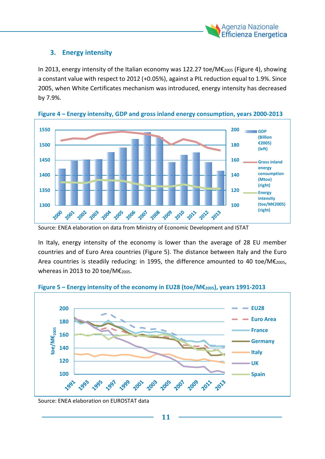

#### **3. Energy intensity**

In 2013, energy intensity of the Italian economy was 122.27 toe/M€2005 (Figure 4), showing a constant value with respect to 2012 (+0.05%), against a PIL reduction equal to 1.9%. Since 2005, when White Certificates mechanism was introduced, energy intensity has decreased by 7.9%.



**Figure 4 – Energy intensity, GDP and gross inland energy consumption, years 2000-2013**

In Italy, energy intensity of the economy is lower than the average of 28 EU member countries and of Euro Area countries (Figure 5). The distance between Italy and the Euro Area countries is steadily reducing: in 1995, the difference amounted to 40 toe/M $\varepsilon_{2005}$ , whereas in 2013 to 20 toe/M $\epsilon_{2005}$ .



**Figure 5 – Energy intensity of the economy in EU28 (toe/M€2005), years 1991-2013**

Source: ENEA elaboration on EUROSTAT data

Source: ENEA elaboration on data from Ministry of Economic Development and ISTAT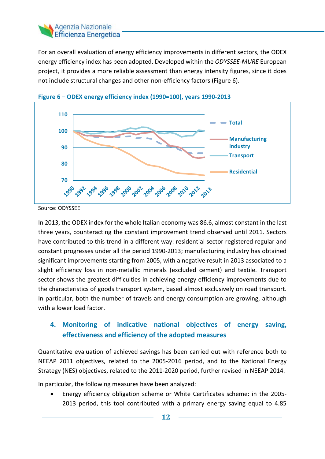#### Agenzia Nazionale **Efficienza Energetica**

For an overall evaluation of energy efficiency improvements in different sectors, the ODEX energy efficiency index has been adopted. Developed within the *ODYSSEE-MURE* European project, it provides a more reliable assessment than energy intensity figures, since it does not include structural changes and other non-efficiency factors (Figure 6).



**Figure 6 – ODEX energy efficiency index (1990=100), years 1990-2013**

Source: ODYSSEE

In 2013, the ODEX index for the whole Italian economy was 86.6, almost constant in the last three years, counteracting the constant improvement trend observed until 2011. Sectors have contributed to this trend in a different way: residential sector registered regular and constant progresses under all the period 1990-2013; manufacturing industry has obtained significant improvements starting from 2005, with a negative result in 2013 associated to a slight efficiency loss in non-metallic minerals (excluded cement) and textile. Transport sector shows the greatest difficulties in achieving energy efficiency improvements due to the characteristics of goods transport system, based almost exclusively on road transport. In particular, both the number of travels and energy consumption are growing, although with a lower load factor.

#### **4. Monitoring of indicative national objectives of energy saving, effectiveness and efficiency of the adopted measures**

Quantitative evaluation of achieved savings has been carried out with reference both to NEEAP 2011 objectives, related to the 2005-2016 period, and to the National Energy Strategy (NES) objectives, related to the 2011-2020 period, further revised in NEEAP 2014.

In particular, the following measures have been analyzed:

• Energy efficiency obligation scheme or White Certificates scheme: in the 2005- 2013 period, this tool contributed with a primary energy saving equal to 4.85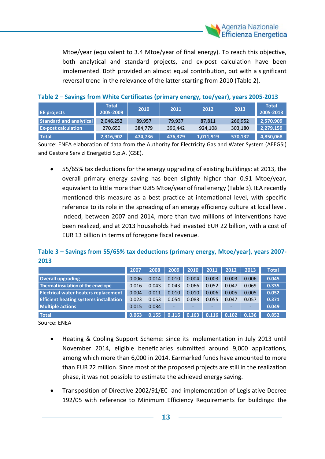

Mtoe/year (equivalent to 3.4 Mtoe/year of final energy). To reach this objective, both analytical and standard projects, and ex-post calculation have been implemented. Both provided an almost equal contribution, but with a significant reversal trend in the relevance of the latter starting from 2010 (Table 2).

|  | Table 2 - Savings from White Certificates (primary energy, toe/year), years 2005-2013 |  |
|--|---------------------------------------------------------------------------------------|--|
|--|---------------------------------------------------------------------------------------|--|

| <b>EE</b> projects             | <b>Total</b><br>2005-2009 | 2010    | 2011    | 2012      | 2013    | <b>Total</b><br>2005-2013 |
|--------------------------------|---------------------------|---------|---------|-----------|---------|---------------------------|
| <b>Standard and analytical</b> | 2,046,252                 | 89.957  | 79.937  | 87.811    | 266.952 | 2,570,909                 |
| <b>Ex-post calculation</b>     | 270,650                   | 384,779 | 396,442 | 924.108   | 303,180 | 2,279,159                 |
| <b>Total</b>                   | 2,316,902                 | 474.736 | 476,379 | 1,011,919 | 570.132 | 4,850,068                 |

Source: ENEA elaboration of data from the Authority for Electricity Gas and Water System (AEEGSI) and Gestore Servizi Energetici S.p.A. (GSE).

• 55/65% tax deductions for the energy upgrading of existing buildings: at 2013, the overall primary energy saving has been slightly higher than 0.91 Mtoe/year, equivalent to little more than 0.85 Mtoe/year of final energy (Table 3). IEA recently mentioned this measure as a best practice at international level, with specific reference to its role in the spreading of an energy efficiency culture at local level. Indeed, between 2007 and 2014, more than two millions of interventions have been realized, and at 2013 households had invested EUR 22 billion, with a cost of EUR 13 billion in terms of foregone fiscal revenue.

#### **Table 3 – Savings from 55/65% tax deductions (primary energy, Mtoe/year), years 2007- 2013**

|                                               | 2007  | 2008  | 2009  | 2010  | 2011  | 2012  | 2013  | <b>Total</b> |
|-----------------------------------------------|-------|-------|-------|-------|-------|-------|-------|--------------|
| <b>Overall upgrading</b>                      | 0.006 | 0.014 | 0.010 | 0.004 | 0.003 | 0.003 | 0.006 | 0.0451       |
| Thermal insulation of the envelope            | 0.016 | 0.043 | 0.043 | 0.066 | 0.052 | 0.047 | 0.069 | 0.335        |
| <b>Electrical water heaters replacement</b>   | 0.004 | 0.011 | 0.010 | 0.010 | 0.006 | 0.005 | 0.005 | 0.052        |
| <b>Efficient heating systems installation</b> | 0.023 | 0.053 | 0.054 | 0.083 | 0.055 | 0.047 | 0.057 | 0.371        |
| <b>Multiple actions</b>                       | 0.015 | 0.034 | ۰     | -     |       |       |       | 0.049        |
| <b>Total</b>                                  | 0.063 | 0.155 | 0.116 | 0.163 | 0.116 | 0.102 | 0.136 | 0.852        |

Source: ENEA

- Heating & Cooling Support Scheme: since its implementation in July 2013 until November 2014, eligible beneficiaries submitted around 9,000 applications, among which more than 6,000 in 2014. Earmarked funds have amounted to more than EUR 22 million. Since most of the proposed projects are still in the realization phase, it was not possible to estimate the achieved energy saving.
- Transposition of Directive 2002/91/EC and implementation of Legislative Decree 192/05 with reference to Minimum Efficiency Requirements for buildings: the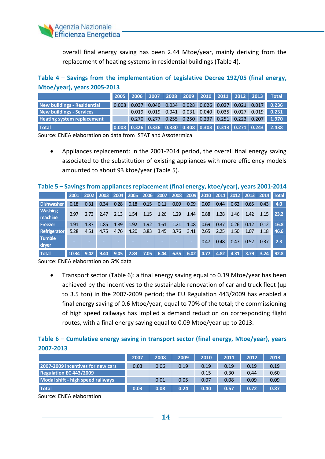

overall final energy saving has been 2.44 Mtoe/year, mainly deriving from the replacement of heating systems in residential buildings (Table 4).

#### **Table 4 – Savings from the implementation of Legislative Decree 192/05 (final energy, Mtoe/year), years 2005-2013**

|                                   |       |       |  |  |  | 2005 2006 2007 2008 2009 2010 2011 2012 2013 Total                                                                              |
|-----------------------------------|-------|-------|--|--|--|---------------------------------------------------------------------------------------------------------------------------------|
| New buildings - Residential       | 0.008 | 0.037 |  |  |  | 0.040 0.034 0.028 0.026 0.027 0.021 0.017 0.236                                                                                 |
| <b>New buildings - Services</b>   |       | 0.019 |  |  |  |                                                                                                                                 |
| <b>Heating system replacement</b> |       |       |  |  |  | $0.270$ $0.277$ $0.255$ $0.250$ $0.237$ $0.251$ $0.223$ $0.207$ 1.970                                                           |
| <b>Total</b>                      |       |       |  |  |  | $\vert 0.008 \vert 0.326 \vert 0.336 \vert 0.330 \vert 0.308 \vert 0.303 \vert 0.313 \vert 0.271 \vert 0.243 \vert 2.438 \vert$ |

Source: ENEA elaboration on data from ISTAT and Assotermica

• Appliances replacement: in the 2001-2014 period, the overall final energy saving associated to the substitution of existing appliances with more efficiency models amounted to about 93 ktoe/year (Table 5).

#### **Table 5 – Savings from appliances replacement (final energy, ktoe/year), years 2001-2014**

|                           | 2001  | 2002 |      | 2003 2004 |      | 2005 2006 2007 |      |      | 2008 2009 | 2010 2011 |      |      | 2012 2013 |      | <b>2014 Total</b> |
|---------------------------|-------|------|------|-----------|------|----------------|------|------|-----------|-----------|------|------|-----------|------|-------------------|
| Dishwasher                | 0.18  | 0.31 | 0.34 | 0.28      | 0.18 | 0.15           | 0.11 | 0.09 | 0.09      | 0.09      | 0.44 | 0.62 | 0.65      | 0.43 | 4.0               |
| <b>Washing</b><br>machine | 2.97  | 2.73 | 2.47 | 2.13      | 1.54 | 1.15           | 1.26 | 1.29 | 1.44      | 0.88      | 1.28 | 1.46 | 1.42      | 1.15 | 23.2              |
| Freezer                   | 1.91  | 1.87 | 1.85 | 1.89      | 1.92 | 1.92           | 1.61 | 1.21 | 1.08      | 0.69      | 0.37 | 0.26 | 0.12      | 0.12 | 16.8              |
| Refrigerator              | 5.28  | 4.51 | 4.75 | 4.76      | 4.20 | 3.83           | 3.45 | 3.76 | 3.41      | 2.65      | 2.25 | 1.50 | 1.07      | 1.18 | 46.6              |
| <b>Tumble</b><br>dryer    |       |      |      |           |      |                |      |      | -         | 0.47      | 0.48 | 0.47 | 0.52      | 0.37 | 2.3               |
| <b>Total</b>              | 10.34 | 9.42 | 9.40 | 9.05      | 7.83 | 7.05           | 6.44 | 6.35 | 6.02      | 4.77      | 4.82 | 4.31 | 3.79      | 3.24 | 92.8              |

Source: ENEA elaboration on GfK data

• Transport sector (Table 6): a final energy saving equal to 0.19 Mtoe/year has been achieved by the incentives to the sustainable renovation of car and truck fleet (up to 3.5 ton) in the 2007-2009 period; the EU Regulation 443/2009 has enabled a final energy saving of 0.6 Mtoe/year, equal to 70% of the total; the commissioning of high speed railways has implied a demand reduction on corresponding flight routes, with a final energy saving equal to 0.09 Mtoe/year up to 2013.

#### **Table 6 – Cumulative energy saving in transport sector (final energy, Mtoe/year), years 2007-2013**

|                                   | 2007 | 2008 | 2009 | 2010 | 2011 | 2012 | 2013 |
|-----------------------------------|------|------|------|------|------|------|------|
| 2007-2009 incentives for new cars | 0.03 | 0.06 | 0.19 | 0.19 | 0.19 | 0.19 | 0.19 |
| Regulation EC 443/2009            |      |      |      | 0.15 | 0.30 | 0.44 | 0.60 |
| Modal shift - high speed railways |      | 0.01 | 0.05 | 0.07 | 0.08 | 0.09 | 0.09 |
| <b>Total</b>                      | 0.03 | 0.08 | 0.24 | 0.40 | 0.57 | 0.72 | 0.87 |

Source: ENEA elaboration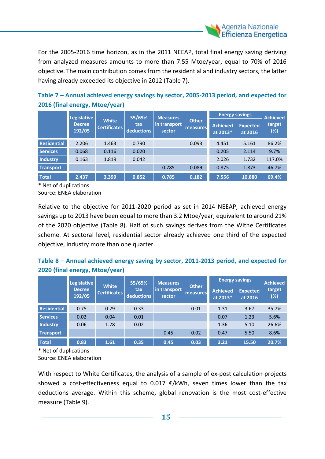

For the 2005-2016 time horizon, as in the 2011 NEEAP, total final energy saving deriving from analyzed measures amounts to more than 7.55 Mtoe/year, equal to 70% of 2016 objective. The main contribution comes from the residential and industry sectors, the latter having already exceeded its objective in 2012 (Table 7).

#### **Table 7 – Annual achieved energy savings by sector, 2005-2013 period, and expected for 2016 (final energy, Mtoe/year)**

|                    | <b>Legislative</b>      |                                     |                   | 55/65%<br>Measures     |                          | <b>Energy savings</b>       | <b>Achieved</b>            |               |
|--------------------|-------------------------|-------------------------------------|-------------------|------------------------|--------------------------|-----------------------------|----------------------------|---------------|
|                    | <b>Decree</b><br>192/05 | <b>White</b><br><b>Certificates</b> | tax<br>deductions | in transport<br>sector | <b>Other</b><br>measures | <b>Achieved</b><br>at 2013* | <b>Expected</b><br>at 2016 | target<br>(%) |
| <b>Residential</b> | 2.206                   | 1.463                               | 0.790             |                        | 0.093                    | 4.451                       | 5.161                      | 86.2%         |
| <b>Services</b>    | 0.068                   | 0.116                               | 0.020             |                        |                          | 0.205                       | 2.114                      | 9.7%          |
| <b>Industry</b>    | 0.163                   | 1.819                               | 0.042             |                        |                          | 2.026                       | 1.732                      | 117.0%        |
| <b>Transport</b>   |                         |                                     |                   | 0.785                  | 0.089                    | 0.875                       | 1.873                      | 46.7%         |
| <b>Total</b>       | 2.437                   | 3.399                               | 0.852             | 0.785                  | 0.182                    | 7.556                       | 10.880                     | 69.4%         |

\* Net of duplications

Source: ENEA elaboration

Relative to the objective for 2011-2020 period as set in 2014 NEEAP, achieved energy savings up to 2013 have been equal to more than 3.2 Mtoe/year, equivalent to around 21% of the 2020 objective (Table 8). Half of such savings derives from the Withe Certificates scheme. At sectoral level, residential sector already achieved one third of the expected objective, industry more than one quarter.

#### **Table 8 – Annual achieved energy saving by sector, 2011-2013 period, and expected for 2020 (final energy, Mtoe/year)**

|                    | <b>Legislative</b>      |                                     | 55/65%                   | <b>Measures</b>        |                   | <b>Energy savings</b>       |                            | <b>Achieved</b> |
|--------------------|-------------------------|-------------------------------------|--------------------------|------------------------|-------------------|-----------------------------|----------------------------|-----------------|
|                    | <b>Decree</b><br>192/05 | <b>White</b><br><b>Certificates</b> | tax<br><b>deductions</b> | in transport<br>sector | Other<br>measures | <b>Achieved</b><br>at 2013* | <b>Expected</b><br>at 2016 | target<br>(%)   |
| <b>Residential</b> | 0.75                    | 0.29                                | 0.33                     |                        | 0.01              | 1.31                        | 3.67                       | 35.7%           |
| <b>Services</b>    | 0.02                    | 0.04                                | 0.01                     |                        |                   | 0.07                        | 1.23                       | 5.6%            |
| Industry           | 0.06                    | 1.28                                | 0.02                     |                        |                   | 1.36                        | 5.10                       | 26.6%           |
| <b>Transport</b>   |                         |                                     |                          | 0.45                   | 0.02              | 0.47                        | 5.50                       | 8.6%            |
| <b>Total</b>       | 0.83                    | 1.61                                | 0.35                     | 0.45                   | 0.03              | 3.21                        | 15.50                      | 20.7%           |

\* Net of duplications Source: ENEA elaboration

With respect to White Certificates, the analysis of a sample of ex-post calculation projects showed a cost-effectiveness equal to 0.017  $\epsilon$ /kWh, seven times lower than the tax deductions average. Within this scheme, global renovation is the most cost-effective measure (Table 9).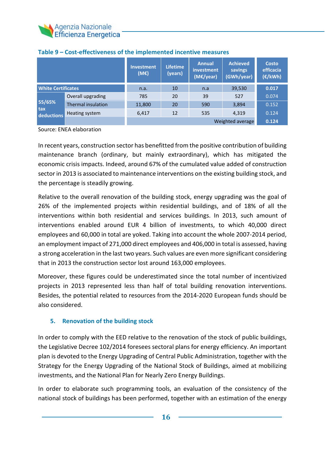

|                           |                           | <b>Investment</b><br>(ME) | <b>Lifetime</b><br>(years) | <b>Annual</b><br>investment<br>(M€/year) | <b>Achieved</b><br>savings<br>(GWh/year) | Costo<br>efficacia<br>(E/kWh) |
|---------------------------|---------------------------|---------------------------|----------------------------|------------------------------------------|------------------------------------------|-------------------------------|
| <b>White Certificates</b> |                           | n.a.                      | 10                         | n.a                                      | 39,530                                   | 0.017                         |
|                           | Overall upgrading         | 785                       | 20                         | 39                                       | 527                                      | 0.074                         |
| 55/65%                    | <b>Thermal insulation</b> | 11,800                    | 20                         | 590                                      | 3,894                                    | 0.152                         |
| tax<br>deductions         | Heating system            | 6,417                     | 12                         | 535                                      | 4.319                                    | 0.124                         |
|                           |                           |                           |                            |                                          | Weighted average                         | 0.124                         |

#### **Table 9 – Cost-effectiveness of the implemented incentive measures**

Source: ENEA elaboration

In recent years, construction sector has benefitted from the positive contribution of building maintenance branch (ordinary, but mainly extraordinary), which has mitigated the economic crisis impacts. Indeed, around 67% of the cumulated value added of construction sector in 2013 is associated to maintenance interventions on the existing building stock, and the percentage is steadily growing.

Relative to the overall renovation of the building stock, energy upgrading was the goal of 26% of the implemented projects within residential buildings, and of 18% of all the interventions within both residential and services buildings. In 2013, such amount of interventions enabled around EUR 4 billion of investments, to which 40,000 direct employees and 60,000 in total are yoked. Taking into account the whole 2007-2014 period, an employment impact of 271,000 direct employees and 406,000 in total is assessed, having a strong acceleration in the last two years. Such values are even more significant considering that in 2013 the construction sector lost around 163,000 employees.

Moreover, these figures could be underestimated since the total number of incentivized projects in 2013 represented less than half of total building renovation interventions. Besides, the potential related to resources from the 2014-2020 European funds should be also considered.

#### **5. Renovation of the building stock**

In order to comply with the EED relative to the renovation of the stock of public buildings, the Legislative Decree 102/2014 foresees sectoral plans for energy efficiency. An important plan is devoted to the Energy Upgrading of Central Public Administration, together with the Strategy for the Energy Upgrading of the National Stock of Buildings, aimed at mobilizing investments, and the National Plan for Nearly Zero Energy Buildings.

In order to elaborate such programming tools, an evaluation of the consistency of the national stock of buildings has been performed, together with an estimation of the energy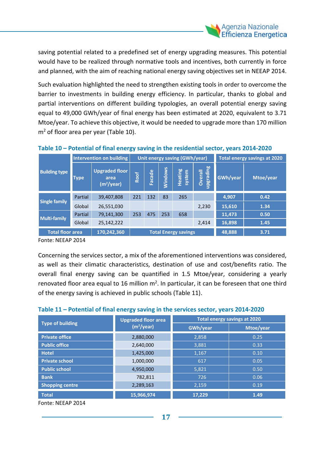

saving potential related to a predefined set of energy upgrading measures. This potential would have to be realized through normative tools and incentives, both currently in force and planned, with the aim of reaching national energy saving objectives set in NEEAP 2014.

Such evaluation highlighted the need to strengthen existing tools in order to overcome the barrier to investments in building energy efficiency. In particular, thanks to global and partial interventions on different building typologies, an overall potential energy saving equal to 49,000 GWh/year of final energy has been estimated at 2020, equivalent to 3.71 Mtoe/year. To achieve this objective, it would be needed to upgrade more than 170 million  $m<sup>2</sup>$  of floor area per year (Table 10).

|                                        |             | Intervention on building                                |      |            |         | Unit energy saving (GWh/year) | <b>Total energy savings at 2020</b> |          |           |
|----------------------------------------|-------------|---------------------------------------------------------|------|------------|---------|-------------------------------|-------------------------------------|----------|-----------|
| <b>Building type</b>                   | <b>Type</b> | <b>Upgraded floor</b><br>area<br>(m <sup>2</sup> /year) | Roof | ω<br>Facad | Windows | Heating<br>system             | upgrading<br>Overall                | GWh/year | Mtoe/year |
|                                        | Partial     | 39,407,808                                              | 221  | 132        | 83      | 265                           |                                     | 4,907    | 0.42      |
| <b>Single family</b>                   | Global      | 26,551,030                                              |      |            |         |                               | 2,230                               | 15,610   | 1.34      |
| <b>Multi-family</b>                    | Partial     | 79,141,300                                              | 253  | 475        | 253     | 658                           |                                     | 11,473   | 0.50      |
|                                        | Global      | 25,142,222                                              |      |            |         |                               | 2,414                               | 16,898   | 1.45      |
| <b>Total floor area</b><br>170,242,360 |             |                                                         |      |            |         | <b>Total Energy savings</b>   | 48,888                              | 3.71     |           |

#### **Table 10 – Potential of final energy saving in the residential sector, years 2014-2020**

Fonte: NEEAP 2014

Concerning the services sector, a mix of the aforementioned interventions was considered, as well as their climatic characteristics, destination of use and cost/benefits ratio. The overall final energy saving can be quantified in 1.5 Mtoe/year, considering a yearly renovated floor area equal to 16 million  $m^2$ . In particular, it can be foreseen that one third of the energy saving is achieved in public schools (Table 11).

| <b>Type of building</b> | <b>Upgraded floor area</b><br>(m <sup>2</sup> /year) | <b>Total energy savings at 2020</b> |           |
|-------------------------|------------------------------------------------------|-------------------------------------|-----------|
|                         |                                                      | GWh/year                            | Mtoe/year |
| <b>Private office</b>   | 2,880,000                                            | 2,858                               | 0.25      |
| <b>Public office</b>    | 2,640,000                                            | 3,881                               | 0.33      |
| <b>Hotel</b>            | 1,425,000                                            | 1,167                               | 0.10      |
| <b>Private school</b>   | 1,000,000                                            | 617                                 | 0.05      |
| <b>Public school</b>    | 4,950,000                                            | 5,821                               | 0.50      |
| <b>Bank</b>             | 782,811                                              | 726                                 | 0.06      |
| <b>Shopping centre</b>  | 2,289,163                                            | 2,159                               | 0.19      |
| <b>Total</b>            | 15,966,974                                           | 17.229                              | 1.49      |

Fonte: NEEAP 2014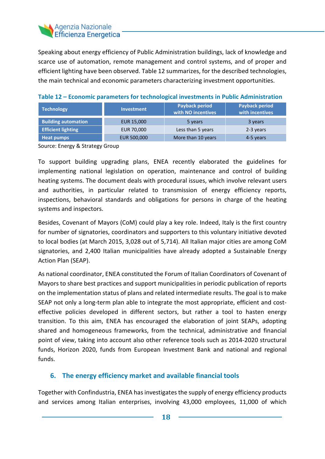#### Agenzia Nazionale **Efficienza Energetica**

Speaking about energy efficiency of Public Administration buildings, lack of knowledge and scarce use of automation, remote management and control systems, and of proper and efficient lighting have been observed. Table 12 summarizes, for the described technologies, the main technical and economic parameters characterizing investment opportunities.

| <b>Technology</b>          | <b>Investment</b> | Payback period<br>with NO incentives | Payback period<br>with incentives |
|----------------------------|-------------------|--------------------------------------|-----------------------------------|
| <b>Building automation</b> | <b>EUR 15,000</b> | 5 years                              | 3 years                           |
| <b>Efficient lighting</b>  | <b>EUR 70,000</b> | Less than 5 years                    | 2-3 years                         |
| Heat pumps                 | EUR 500,000       | More than 10 years                   | 4-5 years                         |

#### **Table 12 – Economic parameters for technological investments in Public Administration**

Source: Energy & Strategy Group

To support building upgrading plans, ENEA recently elaborated the guidelines for implementing national legislation on operation, maintenance and control of building heating systems. The document deals with procedural issues, which involve relevant users and authorities, in particular related to transmission of energy efficiency reports, inspections, behavioral standards and obligations for persons in charge of the heating systems and inspectors.

Besides, Covenant of Mayors (CoM) could play a key role. Indeed, Italy is the first country for number of signatories, coordinators and supporters to this voluntary initiative devoted to local bodies (at March 2015, 3,028 out of 5,714). All Italian major cities are among CoM signatories, and 2,400 Italian municipalities have already adopted a Sustainable Energy Action Plan (SEAP).

As national coordinator, ENEA constituted the Forum of Italian Coordinators of Covenant of Mayors to share best practices and support municipalities in periodic publication of reports on the implementation status of plans and related intermediate results. The goal is to make SEAP not only a long-term plan able to integrate the most appropriate, efficient and costeffective policies developed in different sectors, but rather a tool to hasten energy transition. To this aim, ENEA has encouraged the elaboration of joint SEAPs, adopting shared and homogeneous frameworks, from the technical, administrative and financial point of view, taking into account also other reference tools such as 2014-2020 structural funds, Horizon 2020, funds from European Investment Bank and national and regional funds.

#### **6. The energy efficiency market and available financial tools**

Together with Confindustria, ENEA has investigates the supply of energy efficiency products and services among Italian enterprises, involving 43,000 employees, 11,000 of which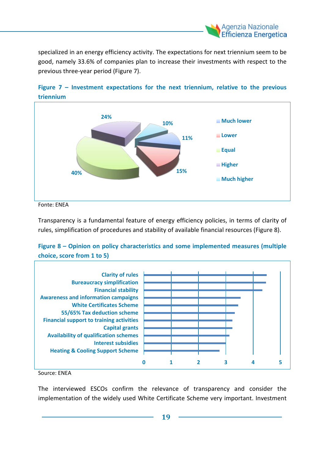

specialized in an energy efficiency activity. The expectations for next triennium seem to be good, namely 33.6% of companies plan to increase their investments with respect to the previous three-year period (Figure 7).





Fonte: ENEA

Transparency is a fundamental feature of energy efficiency policies, in terms of clarity of rules, simplification of procedures and stability of available financial resources (Figure 8).





Source: ENEA

The interviewed ESCOs confirm the relevance of transparency and consider the implementation of the widely used White Certificate Scheme very important. Investment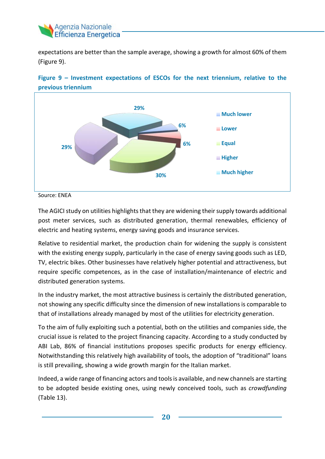

expectations are better than the sample average, showing a growth for almost 60% of them (Figure 9).





The AGICI study on utilities highlights that they are widening their supply towards additional post meter services, such as distributed generation, thermal renewables, efficiency of electric and heating systems, energy saving goods and insurance services.

Relative to residential market, the production chain for widening the supply is consistent with the existing energy supply, particularly in the case of energy saving goods such as LED, TV, electric bikes. Other businesses have relatively higher potential and attractiveness, but require specific competences, as in the case of installation/maintenance of electric and distributed generation systems.

In the industry market, the most attractive business is certainly the distributed generation, not showing any specific difficulty since the dimension of new installations is comparable to that of installations already managed by most of the utilities for electricity generation.

To the aim of fully exploiting such a potential, both on the utilities and companies side, the crucial issue is related to the project financing capacity. According to a study conducted by ABI Lab, 86% of financial institutions proposes specific products for energy efficiency. Notwithstanding this relatively high availability of tools, the adoption of "traditional" loans is still prevailing, showing a wide growth margin for the Italian market.

Indeed, a wide range of financing actors and tools is available, and new channels are starting to be adopted beside existing ones, using newly conceived tools, such as *crowdfunding* (Table 13).

Source: ENEA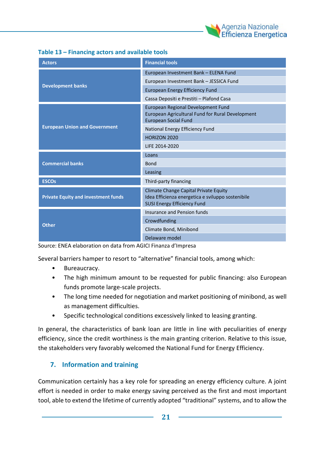

| <b>Actors</b>                              | <b>Financial tools</b>                                                                                                           |  |
|--------------------------------------------|----------------------------------------------------------------------------------------------------------------------------------|--|
|                                            | European Investment Bank - ELENA Fund                                                                                            |  |
|                                            | European Investment Bank - JESSICA Fund                                                                                          |  |
| <b>Development banks</b>                   | <b>European Energy Efficiency Fund</b>                                                                                           |  |
|                                            | Cassa Depositi e Prestiti - Plafond Casa                                                                                         |  |
|                                            | European Regional Development Fund<br>European Agricultural Fund for Rural Development<br><b>European Social Fund</b>            |  |
| <b>European Union and Government</b>       | National Energy Efficiency Fund                                                                                                  |  |
|                                            | HORIZON 2020                                                                                                                     |  |
|                                            | LIFE 2014-2020                                                                                                                   |  |
|                                            | Loans                                                                                                                            |  |
| <b>Commercial banks</b>                    | <b>Bond</b>                                                                                                                      |  |
|                                            | Leasing                                                                                                                          |  |
| <b>ESCOs</b>                               | Third-party financing                                                                                                            |  |
| <b>Private Equity and investment funds</b> | Climate Change Capital Private Equity<br>Idea Efficienza energetica e sviluppo sostenibile<br><b>SUSI Energy Efficiency Fund</b> |  |
|                                            | Insurance and Pension funds                                                                                                      |  |
| Other                                      | Crowdfunding                                                                                                                     |  |
|                                            | Climate Bond, Minibond                                                                                                           |  |
|                                            | Delaware model                                                                                                                   |  |

Source: ENEA elaboration on data from AGICI Finanza d'Impresa

Several barriers hamper to resort to "alternative" financial tools, among which:

- Bureaucracy.
- The high minimum amount to be requested for public financing: also European funds promote large-scale projects.
- The long time needed for negotiation and market positioning of minibond, as well as management difficulties.
- Specific technological conditions excessively linked to leasing granting.

In general, the characteristics of bank loan are little in line with peculiarities of energy efficiency, since the credit worthiness is the main granting criterion. Relative to this issue, the stakeholders very favorably welcomed the National Fund for Energy Efficiency.

#### **7. Information and training**

Communication certainly has a key role for spreading an energy efficiency culture. A joint effort is needed in order to make energy saving perceived as the first and most important tool, able to extend the lifetime of currently adopted "traditional" systems, and to allow the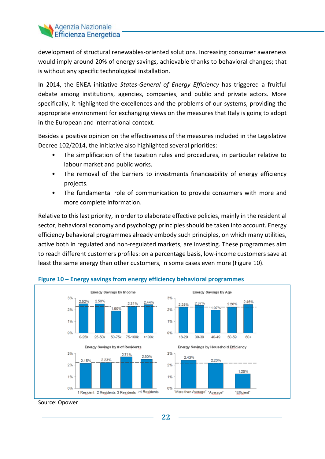

development of structural renewables-oriented solutions. Increasing consumer awareness would imply around 20% of energy savings, achievable thanks to behavioral changes; that is without any specific technological installation.

In 2014, the ENEA initiative *States-General of Energy Efficiency* has triggered a fruitful debate among institutions, agencies, companies, and public and private actors. More specifically, it highlighted the excellences and the problems of our systems, providing the appropriate environment for exchanging views on the measures that Italy is going to adopt in the European and international context.

Besides a positive opinion on the effectiveness of the measures included in the Legislative Decree 102/2014, the initiative also highlighted several priorities:

- The simplification of the taxation rules and procedures, in particular relative to labour market and public works.
- The removal of the barriers to investments financeability of energy efficiency projects.
- The fundamental role of communication to provide consumers with more and more complete information.

Relative to this last priority, in order to elaborate effective policies, mainly in the residential sector, behavioral economy and psychology principles should be taken into account. Energy efficiency behavioral programmes already embody such principles, on which many utilities, active both in regulated and non-regulated markets, are investing. These programmes aim to reach different customers profiles: on a percentage basis, low-income customers save at least the same energy than other customers, in some cases even more (Figure 10).



#### **Figure 10 – Energy savings from energy efficiency behavioral programmes**

Source: Opower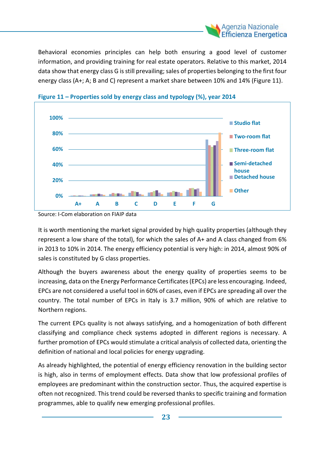

Behavioral economies principles can help both ensuring a good level of customer information, and providing training for real estate operators. Relative to this market, 2014 data show that energy class G isstill prevailing; sales of properties belonging to the first four energy class (A+; A; B and C) represent a market share between 10% and 14% (Figure 11).





Source: I-Com elaboration on FIAIP data

It is worth mentioning the market signal provided by high quality properties (although they represent a low share of the total), for which the sales of A+ and A class changed from 6% in 2013 to 10% in 2014. The energy efficiency potential is very high: in 2014, almost 90% of sales is constituted by G class properties.

Although the buyers awareness about the energy quality of properties seems to be increasing, data on the Energy Performance Certificates (EPCs) are less encouraging. Indeed, EPCs are not considered a useful tool in 60% of cases, even if EPCs are spreading all over the country. The total number of EPCs in Italy is 3.7 million, 90% of which are relative to Northern regions.

The current EPCs quality is not always satisfying, and a homogenization of both different classifying and compliance check systems adopted in different regions is necessary. A further promotion of EPCs would stimulate a critical analysis of collected data, orienting the definition of national and local policies for energy upgrading.

As already highlighted, the potential of energy efficiency renovation in the building sector is high, also in terms of employment effects. Data show that low professional profiles of employees are predominant within the construction sector. Thus, the acquired expertise is often not recognized. This trend could be reversed thanks to specific training and formation programmes, able to qualify new emerging professional profiles.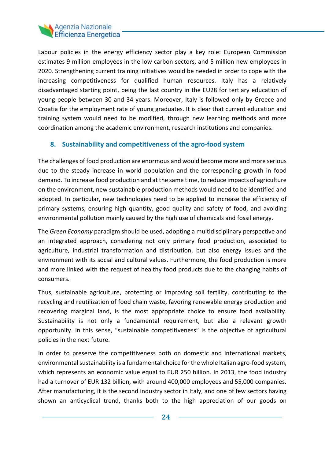#### Agenzia Nazionale **Efficienza Energetica**

Labour policies in the energy efficiency sector play a key role: European Commission estimates 9 million employees in the low carbon sectors, and 5 million new employees in 2020. Strengthening current training initiatives would be needed in order to cope with the increasing competitiveness for qualified human resources. Italy has a relatively disadvantaged starting point, being the last country in the EU28 for tertiary education of young people between 30 and 34 years. Moreover, Italy is followed only by Greece and Croatia for the employment rate of young graduates. It is clear that current education and training system would need to be modified, through new learning methods and more coordination among the academic environment, research institutions and companies.

#### **8. Sustainability and competitiveness of the agro-food system**

The challenges of food production are enormous and would become more and more serious due to the steady increase in world population and the corresponding growth in food demand. To increase food production and at the same time, to reduce impacts of agriculture on the environment, new sustainable production methods would need to be identified and adopted. In particular, new technologies need to be applied to increase the efficiency of primary systems, ensuring high quantity, good quality and safety of food, and avoiding environmental pollution mainly caused by the high use of chemicals and fossil energy.

The *Green Economy* paradigm should be used, adopting a multidisciplinary perspective and an integrated approach, considering not only primary food production, associated to agriculture, industrial transformation and distribution, but also energy issues and the environment with its social and cultural values. Furthermore, the food production is more and more linked with the request of healthy food products due to the changing habits of consumers.

Thus, sustainable agriculture, protecting or improving soil fertility, contributing to the recycling and reutilization of food chain waste, favoring renewable energy production and recovering marginal land, is the most appropriate choice to ensure food availability. Sustainability is not only a fundamental requirement, but also a relevant growth opportunity. In this sense, "sustainable competitiveness" is the objective of agricultural policies in the next future.

In order to preserve the competitiveness both on domestic and international markets, environmental sustainability is a fundamental choice for the whole Italian agro-food system, which represents an economic value equal to EUR 250 billion. In 2013, the food industry had a turnover of EUR 132 billion, with around 400,000 employees and 55,000 companies. After manufacturing, it is the second industry sector in Italy, and one of few sectors having shown an anticyclical trend, thanks both to the high appreciation of our goods on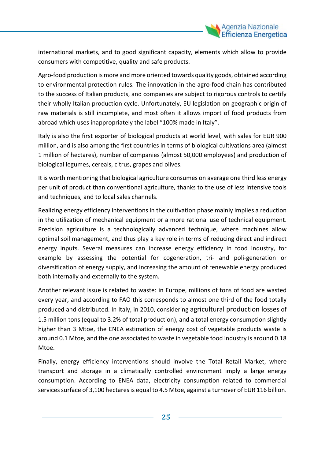

international markets, and to good significant capacity, elements which allow to provide consumers with competitive, quality and safe products.

Agro-food production is more and more oriented towards quality goods, obtained according to environmental protection rules. The innovation in the agro-food chain has contributed to the success of Italian products, and companies are subject to rigorous controls to certify their wholly Italian production cycle. Unfortunately, EU legislation on geographic origin of raw materials is still incomplete, and most often it allows import of food products from abroad which uses inappropriately the label "100% made in Italy".

Italy is also the first exporter of biological products at world level, with sales for EUR 900 million, and is also among the first countries in terms of biological cultivations area (almost 1 million of hectares), number of companies (almost 50,000 employees) and production of biological legumes, cereals, citrus, grapes and olives.

It is worth mentioning that biological agriculture consumes on average one third less energy per unit of product than conventional agriculture, thanks to the use of less intensive tools and techniques, and to local sales channels.

Realizing energy efficiency interventions in the cultivation phase mainly implies a reduction in the utilization of mechanical equipment or a more rational use of technical equipment. Precision agriculture is a technologically advanced technique, where machines allow optimal soil management, and thus play a key role in terms of reducing direct and indirect energy inputs. Several measures can increase energy efficiency in food industry, for example by assessing the potential for cogeneration, tri- and poli-generation or diversification of energy supply, and increasing the amount of renewable energy produced both internally and externally to the system.

Another relevant issue is related to waste: in Europe, millions of tons of food are wasted every year, and according to FAO this corresponds to almost one third of the food totally produced and distributed. In Italy, in 2010, considering agricultural production losses of 1.5 million tons (equal to 3.2% of total production), and a total energy consumption slightly higher than 3 Mtoe, the ENEA estimation of energy cost of vegetable products waste is around 0.1 Mtoe, and the one associated to waste in vegetable food industry is around 0.18 Mtoe.

Finally, energy efficiency interventions should involve the Total Retail Market, where transport and storage in a climatically controlled environment imply a large energy consumption. According to ENEA data, electricity consumption related to commercial services surface of 3,100 hectares is equal to 4.5 Mtoe, against a turnover of EUR 116 billion.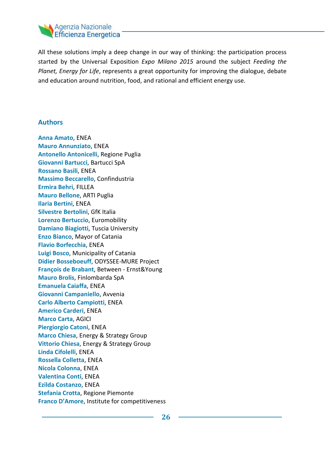

All these solutions imply a deep change in our way of thinking: the participation process started by the Universal Exposition *Expo Milano 2015* around the subject *Feeding the Planet, Energy for Life*, represents a great opportunity for improving the dialogue, debate and education around nutrition, food, and rational and efficient energy use.

#### **Authors**

**Anna Amato**, ENEA **Mauro Annunziato**, ENEA **Antonello Antonicelli**, Regione Puglia **Giovanni Bartucci**, Bartucci SpA **Rossano Basili**, ENEA **Massimo Beccarello**, Confindustria **Ermira Behri**, FILLEA **Mauro Bellone**, ARTI Puglia **Ilaria Bertini**, ENEA **Silvestre Bertolini**, GfK Italia **Lorenzo Bertuccio**, Euromobility **Damiano Biagiotti**, Tuscia University **Enzo Bianco**, Mayor of Catania **Flavio Borfecchia**, ENEA **Luigi Bosco**, Municipality of Catania **Didier Bosseboeuff**, ODYSSEE-MURE Project **François de Brabant**, Between - Ernst&Young **Mauro Brolis**, Finlombarda SpA **Emanuela Caiaffa**, ENEA **Giovanni Campaniello**, Avvenia **Carlo Alberto Campiotti**, ENEA **Americo Carderi**, ENEA **Marco Carta**, AGICI **Piergiorgio Catoni**, ENEA **Marco Chiesa**, Energy & Strategy Group **Vittorio Chiesa**, Energy & Strategy Group **Linda Cifolelli**, ENEA **Rossella Colletta**, ENEA **Nicola Colonna**, ENEA **Valentina Conti**, ENEA **Ezilda Costanzo**, ENEA **Stefania Crotta**, Regione Piemonte **Franco D'Amore**, Institute for competitiveness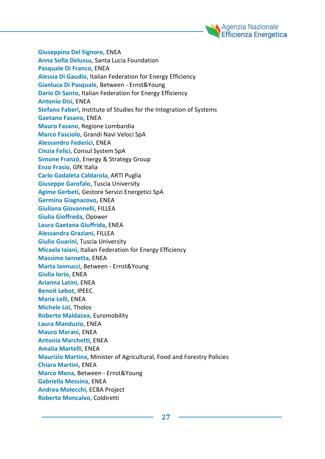

**Giuseppina Del Signore**, ENEA **Anna Sofia Delussu**, Santa Lucia Foundation **Pasquale Di Franco**, ENEA **Alessia Di Gaudio**, Italian Federation for Energy Efficiency **Gianluca Di Pasquale**, Between - Ernst&Young **Dario Di Santo**, Italian Federation for Energy Efficiency **Antonio Disi**, ENEA **Stefano Faberi**, Institute of Studies for the Integration of Systems **Gaetano Fasano**, ENEA **Mauro Fasano**, Regione Lombardia **Marco Fasciolo**, Grandi Navi Veloci SpA **Alessandro Federici**, ENEA **Cinzia Felici**, Consul System SpA **Simone Franzò**, Energy & Strategy Group **Enzo Frasio**, GfK Italia **Carlo Gadaleta Caldarola**, ARTI Puglia **Giuseppe Garofalo**, Tuscia University **Agime Gerbeti**, Gestore Servizi Energetici SpA **Germina Giagnacovo**, ENEA **Giuliana Giovannelli**, FILLEA **Giulia Gioffreda**, Opower **Laura Gaetana Giuffrida**, ENEA **Alessandra Graziani**, FILLEA **Giulio Guarini**, Tuscia University **Micaela Iaiani**, Italian Federation for Energy Efficiency **Massimo Iannetta**, ENEA **Marta Iannucci**, Between - Ernst&Young **Giulia Iorio**, ENEA **Arianna Latini**, ENEA **Benoit Lebot**, IPEEC **Maria Lelli**, ENEA **Michele Loi**, Tholos **Roberto Maldacea**, Euromobility **Laura Manduzio**, ENEA **Mauro Marani**, ENEA **Antonia Marchetti**, ENEA **Amalia Martelli**, ENEA **Maurizio Martina**, Minister of Agricultural, Food and Forestry Policies **Chiara Martini**, ENEA **Marco Mena**, Between - Ernst&Young **Gabriella Messina**, ENEA **Andrea Molocchi**, ECBA Project **Roberto Moncalvo**, Coldiretti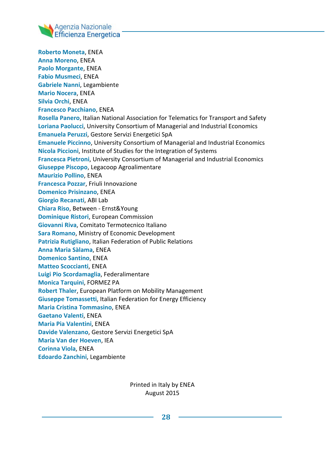

**Roberto Moneta**, ENEA **Anna Moreno**, ENEA **Paolo Morgante**, ENEA **Fabio Musmeci**, ENEA **Gabriele Nanni**, Legambiente **Mario Nocera**, ENEA **Silvia Orchi**, ENEA **Francesco Pacchiano**, ENEA **Rosella Panero**, Italian National Association for Telematics for Transport and Safety **Loriana Paolucci**, University Consortium of Managerial and Industrial Economics **Emanuela Peruzzi**, Gestore Servizi Energetici SpA **Emanuele Piccinno**, University Consortium of Managerial and Industrial Economics **Nicola Piccioni**, Institute of Studies for the Integration of Systems **Francesca Pietroni**, University Consortium of Managerial and Industrial Economics **Giuseppe Piscopo**, Legacoop Agroalimentare **Maurizio Pollino**, ENEA **Francesca Pozzar**, Friuli Innovazione **Domenico Prisinzano**, ENEA **Giorgio Recanati**, ABI Lab **Chiara Riso**, Between - Ernst&Young **Dominique Ristori**, European Commission **Giovanni Riva**, Comitato Termotecnico Italiano **Sara Romano**, Ministry of Economic Development **Patrizia Rutigliano**, Italian Federation of Public Relations **Anna Maria Sàlama**, ENEA **Domenico Santino**, ENEA **Matteo Scoccianti**, ENEA **Luigi Pio Scordamaglia**, Federalimentare **Monica Tarquini**, FORMEZ PA **Robert Thaler**, European Platform on Mobility Management **Giuseppe Tomassetti**, Italian Federation for Energy Efficiency **Maria Cristina Tommasino**, ENEA **Gaetano Valenti**, ENEA **Maria Pia Valentini**, ENEA **Davide Valenzano**, Gestore Servizi Energetici SpA **Maria Van der Hoeven**, IEA **Corinna Viola**, ENEA **Edoardo Zanchini**, Legambiente

> Printed in Italy by ENEA August 2015